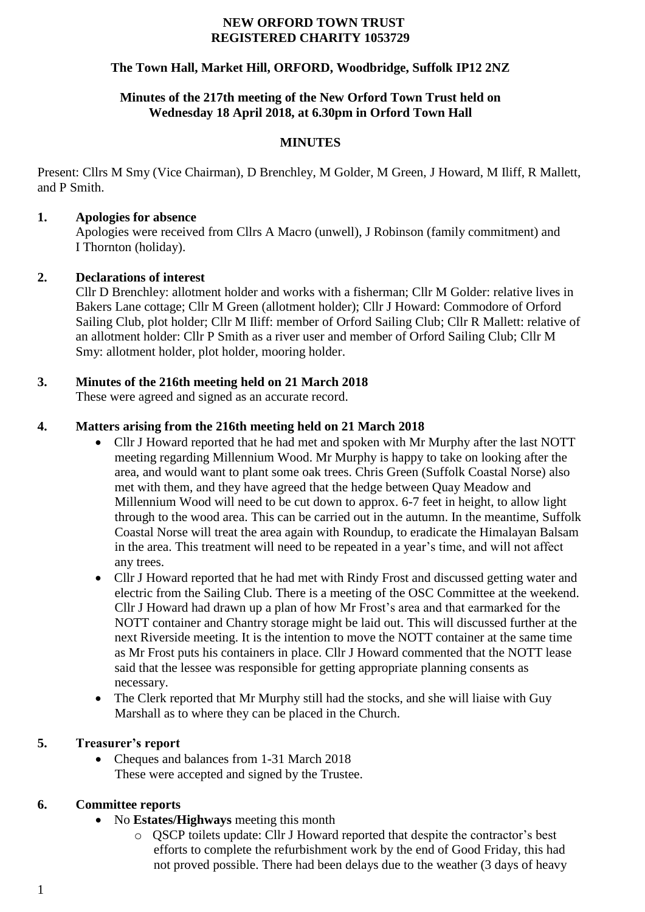#### **NEW ORFORD TOWN TRUST REGISTERED CHARITY 1053729**

# **The Town Hall, Market Hill, ORFORD, Woodbridge, Suffolk IP12 2NZ**

## **Minutes of the 217th meeting of the New Orford Town Trust held on Wednesday 18 April 2018, at 6.30pm in Orford Town Hall**

## **MINUTES**

Present: Cllrs M Smy (Vice Chairman), D Brenchley, M Golder, M Green, J Howard, M Iliff, R Mallett, and P Smith.

### **1. Apologies for absence**

Apologies were received from Cllrs A Macro (unwell), J Robinson (family commitment) and I Thornton (holiday).

### **2. Declarations of interest**

Cllr D Brenchley: allotment holder and works with a fisherman; Cllr M Golder: relative lives in Bakers Lane cottage; Cllr M Green (allotment holder); Cllr J Howard: Commodore of Orford Sailing Club, plot holder; Cllr M Iliff: member of Orford Sailing Club; Cllr R Mallett: relative of an allotment holder: Cllr P Smith as a river user and member of Orford Sailing Club; Cllr M Smy: allotment holder, plot holder, mooring holder.

## **3. Minutes of the 216th meeting held on 21 March 2018**

These were agreed and signed as an accurate record.

### **4. Matters arising from the 216th meeting held on 21 March 2018**

- Cllr J Howard reported that he had met and spoken with Mr Murphy after the last NOTT meeting regarding Millennium Wood. Mr Murphy is happy to take on looking after the area, and would want to plant some oak trees. Chris Green (Suffolk Coastal Norse) also met with them, and they have agreed that the hedge between Quay Meadow and Millennium Wood will need to be cut down to approx. 6-7 feet in height, to allow light through to the wood area. This can be carried out in the autumn. In the meantime, Suffolk Coastal Norse will treat the area again with Roundup, to eradicate the Himalayan Balsam in the area. This treatment will need to be repeated in a year's time, and will not affect any trees.
- Cllr J Howard reported that he had met with Rindy Frost and discussed getting water and electric from the Sailing Club. There is a meeting of the OSC Committee at the weekend. Cllr J Howard had drawn up a plan of how Mr Frost's area and that earmarked for the NOTT container and Chantry storage might be laid out. This will discussed further at the next Riverside meeting. It is the intention to move the NOTT container at the same time as Mr Frost puts his containers in place. Cllr J Howard commented that the NOTT lease said that the lessee was responsible for getting appropriate planning consents as necessary.
- The Clerk reported that Mr Murphy still had the stocks, and she will liaise with Guy Marshall as to where they can be placed in the Church.

## **5. Treasurer's report**

• Cheques and balances from 1-31 March 2018 These were accepted and signed by the Trustee.

## **6. Committee reports**

- No **Estates/Highways** meeting this month
	- o QSCP toilets update: Cllr J Howard reported that despite the contractor's best efforts to complete the refurbishment work by the end of Good Friday, this had not proved possible. There had been delays due to the weather (3 days of heavy